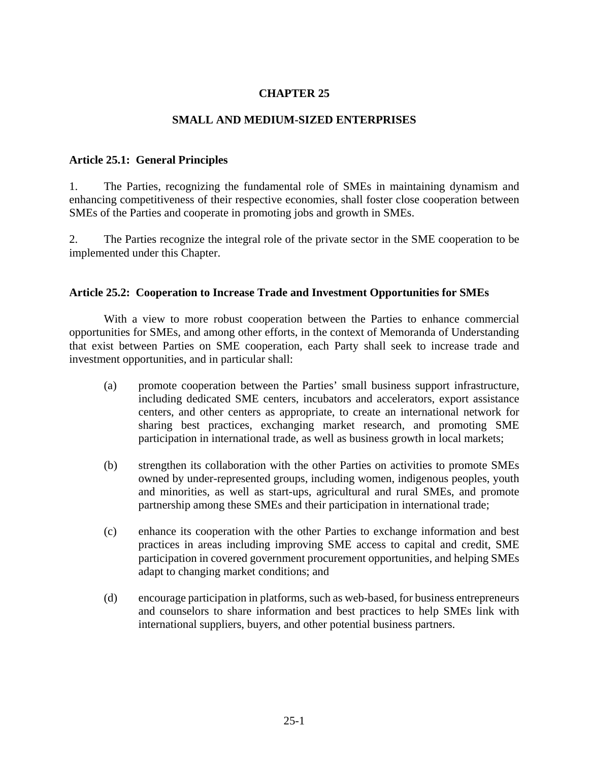## **CHAPTER 25**

## **SMALL AND MEDIUM-SIZED ENTERPRISES**

#### **Article 25.1: General Principles**

1. The Parties, recognizing the fundamental role of SMEs in maintaining dynamism and enhancing competitiveness of their respective economies, shall foster close cooperation between SMEs of the Parties and cooperate in promoting jobs and growth in SMEs.

2. The Parties recognize the integral role of the private sector in the SME cooperation to be implemented under this Chapter.

#### **Article 25.2: Cooperation to Increase Trade and Investment Opportunities for SMEs**

With a view to more robust cooperation between the Parties to enhance commercial opportunities for SMEs, and among other efforts, in the context of Memoranda of Understanding that exist between Parties on SME cooperation, each Party shall seek to increase trade and investment opportunities, and in particular shall:

- (a) promote cooperation between the Parties' small business support infrastructure, including dedicated SME centers, incubators and accelerators, export assistance centers, and other centers as appropriate, to create an international network for sharing best practices, exchanging market research, and promoting SME participation in international trade, as well as business growth in local markets;
- (b) strengthen its collaboration with the other Parties on activities to promote SMEs owned by under-represented groups, including women, indigenous peoples, youth and minorities, as well as start-ups, agricultural and rural SMEs, and promote partnership among these SMEs and their participation in international trade;
- (c) enhance its cooperation with the other Parties to exchange information and best practices in areas including improving SME access to capital and credit, SME participation in covered government procurement opportunities, and helping SMEs adapt to changing market conditions; and
- (d) encourage participation in platforms, such as web-based, for business entrepreneurs and counselors to share information and best practices to help SMEs link with international suppliers, buyers, and other potential business partners.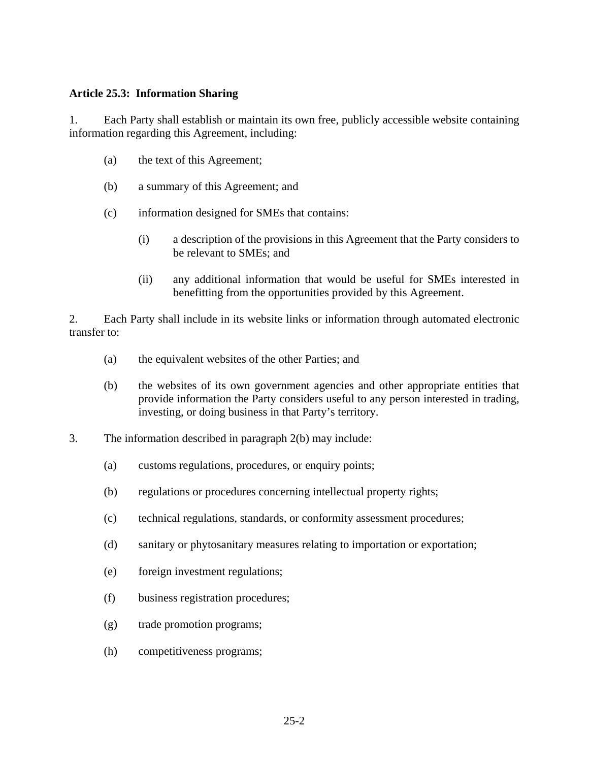## **Article 25.3: Information Sharing**

1. Each Party shall establish or maintain its own free, publicly accessible website containing information regarding this Agreement, including:

- (a) the text of this Agreement;
- (b) a summary of this Agreement; and
- (c) information designed for SMEs that contains:
	- (i) a description of the provisions in this Agreement that the Party considers to be relevant to SMEs; and
	- (ii) any additional information that would be useful for SMEs interested in benefitting from the opportunities provided by this Agreement.

2. Each Party shall include in its website links or information through automated electronic transfer to:

- (a) the equivalent websites of the other Parties; and
- (b) the websites of its own government agencies and other appropriate entities that provide information the Party considers useful to any person interested in trading, investing, or doing business in that Party's territory.
- 3. The information described in paragraph 2(b) may include:
	- (a) customs regulations, procedures, or enquiry points;
	- (b) regulations or procedures concerning intellectual property rights;
	- (c) technical regulations, standards, or conformity assessment procedures;
	- (d) sanitary or phytosanitary measures relating to importation or exportation;
	- (e) foreign investment regulations;
	- (f) business registration procedures;
	- (g) trade promotion programs;
	- (h) competitiveness programs;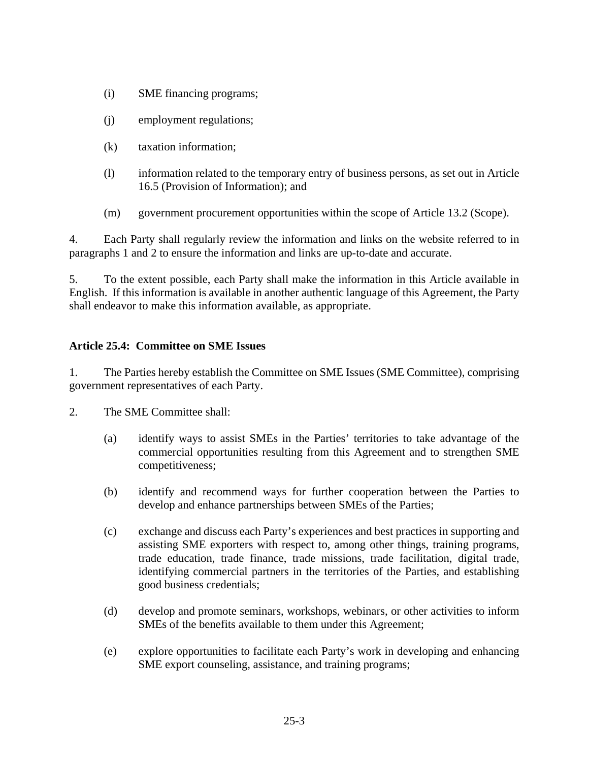- (i) SME financing programs;
- (j) employment regulations;
- (k) taxation information;
- (l) information related to the temporary entry of business persons, as set out in Article 16.5 (Provision of Information); and
- (m) government procurement opportunities within the scope of Article 13.2 (Scope).

4. Each Party shall regularly review the information and links on the website referred to in paragraphs 1 and 2 to ensure the information and links are up-to-date and accurate.

5. To the extent possible, each Party shall make the information in this Article available in English. If this information is available in another authentic language of this Agreement, the Party shall endeavor to make this information available, as appropriate.

# **Article 25.4: Committee on SME Issues**

1. The Parties hereby establish the Committee on SME Issues (SME Committee), comprising government representatives of each Party.

- 2. The SME Committee shall:
	- (a) identify ways to assist SMEs in the Parties' territories to take advantage of the commercial opportunities resulting from this Agreement and to strengthen SME competitiveness;
	- (b) identify and recommend ways for further cooperation between the Parties to develop and enhance partnerships between SMEs of the Parties;
	- (c) exchange and discuss each Party's experiences and best practices in supporting and assisting SME exporters with respect to, among other things, training programs, trade education, trade finance, trade missions, trade facilitation, digital trade, identifying commercial partners in the territories of the Parties, and establishing good business credentials;
	- (d) develop and promote seminars, workshops, webinars, or other activities to inform SMEs of the benefits available to them under this Agreement;
	- (e) explore opportunities to facilitate each Party's work in developing and enhancing SME export counseling, assistance, and training programs;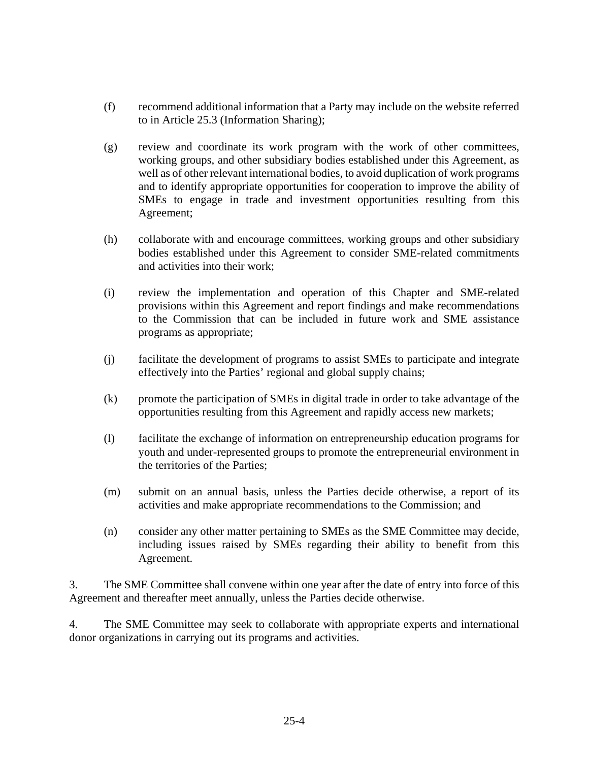- (f) recommend additional information that a Party may include on the website referred to in Article 25.3 (Information Sharing);
- (g) review and coordinate its work program with the work of other committees, working groups, and other subsidiary bodies established under this Agreement, as well as of other relevant international bodies, to avoid duplication of work programs and to identify appropriate opportunities for cooperation to improve the ability of SMEs to engage in trade and investment opportunities resulting from this Agreement;
- (h) collaborate with and encourage committees, working groups and other subsidiary bodies established under this Agreement to consider SME-related commitments and activities into their work;
- (i) review the implementation and operation of this Chapter and SME-related provisions within this Agreement and report findings and make recommendations to the Commission that can be included in future work and SME assistance programs as appropriate;
- (j) facilitate the development of programs to assist SMEs to participate and integrate effectively into the Parties' regional and global supply chains;
- (k) promote the participation of SMEs in digital trade in order to take advantage of the opportunities resulting from this Agreement and rapidly access new markets;
- (l) facilitate the exchange of information on entrepreneurship education programs for youth and under-represented groups to promote the entrepreneurial environment in the territories of the Parties;
- (m) submit on an annual basis, unless the Parties decide otherwise, a report of its activities and make appropriate recommendations to the Commission; and
- (n) consider any other matter pertaining to SMEs as the SME Committee may decide, including issues raised by SMEs regarding their ability to benefit from this Agreement.

3. The SME Committee shall convene within one year after the date of entry into force of this Agreement and thereafter meet annually, unless the Parties decide otherwise.

4. The SME Committee may seek to collaborate with appropriate experts and international donor organizations in carrying out its programs and activities.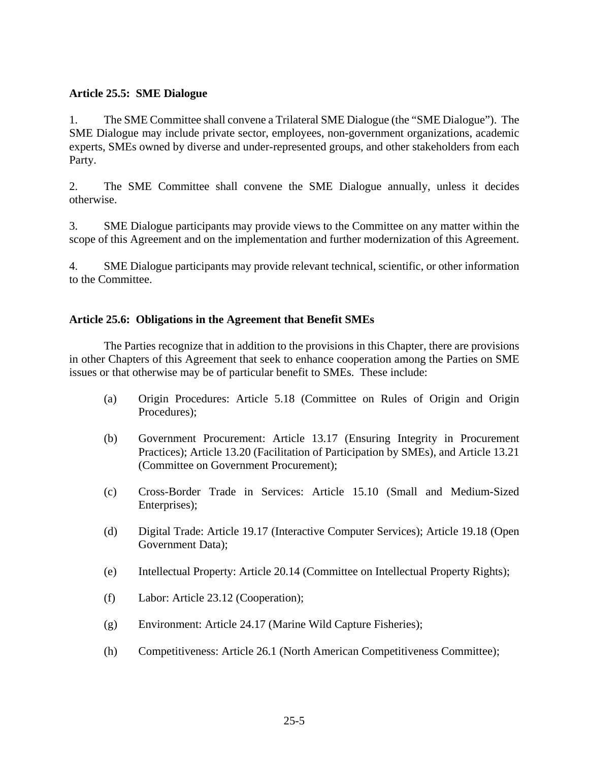# **Article 25.5: SME Dialogue**

1. The SME Committee shall convene a Trilateral SME Dialogue (the "SME Dialogue"). The SME Dialogue may include private sector, employees, non-government organizations, academic experts, SMEs owned by diverse and under-represented groups, and other stakeholders from each Party.

2. The SME Committee shall convene the SME Dialogue annually, unless it decides otherwise.

3. SME Dialogue participants may provide views to the Committee on any matter within the scope of this Agreement and on the implementation and further modernization of this Agreement.

4. SME Dialogue participants may provide relevant technical, scientific, or other information to the Committee.

# **Article 25.6: Obligations in the Agreement that Benefit SMEs**

The Parties recognize that in addition to the provisions in this Chapter, there are provisions in other Chapters of this Agreement that seek to enhance cooperation among the Parties on SME issues or that otherwise may be of particular benefit to SMEs. These include:

- (a) Origin Procedures: Article 5.18 (Committee on Rules of Origin and Origin Procedures);
- (b) Government Procurement: Article 13.17 (Ensuring Integrity in Procurement Practices); Article 13.20 (Facilitation of Participation by SMEs), and Article 13.21 (Committee on Government Procurement);
- (c) Cross-Border Trade in Services: Article 15.10 (Small and Medium-Sized Enterprises);
- (d) Digital Trade: Article 19.17 (Interactive Computer Services); Article 19.18 (Open Government Data);
- (e) Intellectual Property: Article 20.14 (Committee on Intellectual Property Rights);
- (f) Labor: Article 23.12 (Cooperation);
- (g) Environment: Article 24.17 (Marine Wild Capture Fisheries);
- (h) Competitiveness: Article 26.1 (North American Competitiveness Committee);